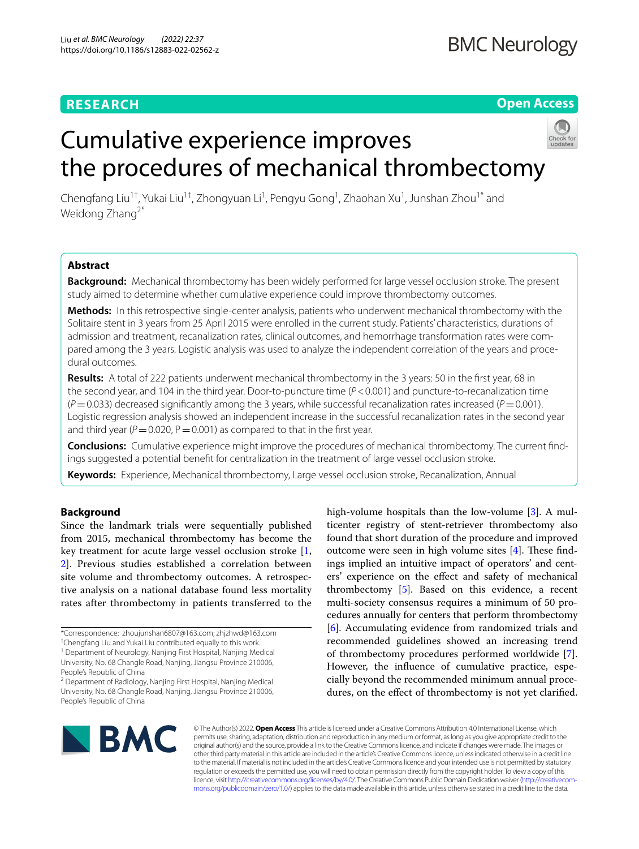# **RESEARCH**

# **Open Access**

# Cumulative experience improves the procedures of mechanical thrombectomy



Chengfang Liu<sup>1†</sup>, Yukai Liu<sup>1†</sup>, Zhongyuan Li<sup>1</sup>, Pengyu Gong<sup>1</sup>, Zhaohan Xu<sup>1</sup>, Junshan Zhou<sup>1\*</sup> and Weidong Zhang<sup>2\*</sup>

# **Abstract**

**Background:** Mechanical thrombectomy has been widely performed for large vessel occlusion stroke. The present study aimed to determine whether cumulative experience could improve thrombectomy outcomes.

**Methods:** In this retrospective single-center analysis, patients who underwent mechanical thrombectomy with the Solitaire stent in 3 years from 25 April 2015 were enrolled in the current study. Patients' characteristics, durations of admission and treatment, recanalization rates, clinical outcomes, and hemorrhage transformation rates were compared among the 3 years. Logistic analysis was used to analyze the independent correlation of the years and procedural outcomes.

**Results:** A total of 222 patients underwent mechanical thrombectomy in the 3 years: 50 in the frst year, 68 in the second year, and 104 in the third year. Door-to-puncture time (*P*<0.001) and puncture-to-recanalization time  $(P=0.033)$  decreased significantly among the 3 years, while successful recanalization rates increased ( $P=0.001$ ). Logistic regression analysis showed an independent increase in the successful recanalization rates in the second year and third year ( $P=0.020$ ,  $P=0.001$ ) as compared to that in the first year.

**Conclusions:** Cumulative experience might improve the procedures of mechanical thrombectomy. The current fndings suggested a potential beneft for centralization in the treatment of large vessel occlusion stroke.

**Keywords:** Experience, Mechanical thrombectomy, Large vessel occlusion stroke, Recanalization, Annual

# **Background**

Since the landmark trials were sequentially published from 2015, mechanical thrombectomy has become the key treatment for acute large vessel occlusion stroke [\[1](#page-5-0), [2\]](#page-5-1). Previous studies established a correlation between site volume and thrombectomy outcomes. A retrospective analysis on a national database found less mortality rates after thrombectomy in patients transferred to the

\*Correspondence: zhoujunshan6807@163.com; zhjzhwd@163.com

high-volume hospitals than the low-volume [[3](#page-5-2)]. A multicenter registry of stent-retriever thrombectomy also found that short duration of the procedure and improved outcome were seen in high volume sites  $[4]$  $[4]$ . These findings implied an intuitive impact of operators' and centers' experience on the efect and safety of mechanical thrombectomy [[5\]](#page-6-0). Based on this evidence, a recent multi-society consensus requires a minimum of 50 procedures annually for centers that perform thrombectomy [[6\]](#page-6-1). Accumulating evidence from randomized trials and recommended guidelines showed an increasing trend of thrombectomy procedures performed worldwide [\[7](#page-6-2)]. However, the infuence of cumulative practice, especially beyond the recommended minimum annual procedures, on the efect of thrombectomy is not yet clarifed.



© The Author(s) 2022. **Open Access** This article is licensed under a Creative Commons Attribution 4.0 International License, which permits use, sharing, adaptation, distribution and reproduction in any medium or format, as long as you give appropriate credit to the original author(s) and the source, provide a link to the Creative Commons licence, and indicate if changes were made. The images or other third party material in this article are included in the article's Creative Commons licence, unless indicated otherwise in a credit line to the material. If material is not included in the article's Creative Commons licence and your intended use is not permitted by statutory regulation or exceeds the permitted use, you will need to obtain permission directly from the copyright holder. To view a copy of this licence, visit [http://creativecommons.org/licenses/by/4.0/.](http://creativecommons.org/licenses/by/4.0/) The Creative Commons Public Domain Dedication waiver ([http://creativecom](http://creativecommons.org/publicdomain/zero/1.0/)[mons.org/publicdomain/zero/1.0/\)](http://creativecommons.org/publicdomain/zero/1.0/) applies to the data made available in this article, unless otherwise stated in a credit line to the data.

<sup>†</sup> Chengfang Liu and Yukai Liu contributed equally to this work.

<sup>&</sup>lt;sup>1</sup> Department of Neurology, Nanjing First Hospital, Nanjing Medical University, No. 68 Changle Road, Nanjing, Jiangsu Province 210006, People's Republic of China

<sup>&</sup>lt;sup>2</sup> Department of Radiology, Nanjing First Hospital, Nanjing Medical University, No. 68 Changle Road, Nanjing, Jiangsu Province 210006, People's Republic of China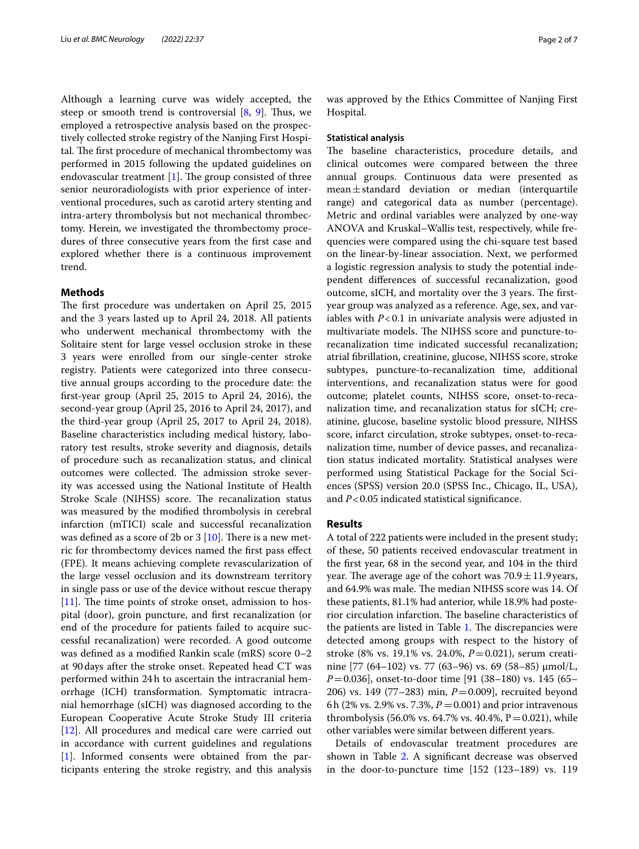Although a learning curve was widely accepted, the steep or smooth trend is controversial  $[8, 9]$  $[8, 9]$  $[8, 9]$  $[8, 9]$ . Thus, we employed a retrospective analysis based on the prospectively collected stroke registry of the Nanjing First Hospital. The first procedure of mechanical thrombectomy was performed in 2015 following the updated guidelines on endovascular treatment  $[1]$  $[1]$ . The group consisted of three senior neuroradiologists with prior experience of interventional procedures, such as carotid artery stenting and intra-artery thrombolysis but not mechanical thrombectomy. Herein, we investigated the thrombectomy procedures of three consecutive years from the frst case and explored whether there is a continuous improvement trend.

# **Methods**

The first procedure was undertaken on April 25, 2015 and the 3 years lasted up to April 24, 2018. All patients who underwent mechanical thrombectomy with the Solitaire stent for large vessel occlusion stroke in these 3 years were enrolled from our single-center stroke registry. Patients were categorized into three consecutive annual groups according to the procedure date: the frst-year group (April 25, 2015 to April 24, 2016), the second-year group (April 25, 2016 to April 24, 2017), and the third-year group (April 25, 2017 to April 24, 2018). Baseline characteristics including medical history, laboratory test results, stroke severity and diagnosis, details of procedure such as recanalization status, and clinical outcomes were collected. The admission stroke severity was accessed using the National Institute of Health Stroke Scale (NIHSS) score. The recanalization status was measured by the modifed thrombolysis in cerebral infarction (mTICI) scale and successful recanalization was defined as a score of 2b or 3  $[10]$  $[10]$ . There is a new metric for thrombectomy devices named the frst pass efect (FPE). It means achieving complete revascularization of the large vessel occlusion and its downstream territory in single pass or use of the device without rescue therapy [[11\]](#page-6-6). The time points of stroke onset, admission to hospital (door), groin puncture, and frst recanalization (or end of the procedure for patients failed to acquire successful recanalization) were recorded. A good outcome was defned as a modifed Rankin scale (mRS) score 0–2 at 90days after the stroke onset. Repeated head CT was performed within 24h to ascertain the intracranial hemorrhage (ICH) transformation. Symptomatic intracranial hemorrhage (sICH) was diagnosed according to the European Cooperative Acute Stroke Study III criteria [[12\]](#page-6-7). All procedures and medical care were carried out in accordance with current guidelines and regulations [[1\]](#page-5-0). Informed consents were obtained from the participants entering the stroke registry, and this analysis was approved by the Ethics Committee of Nanjing First Hospital.

#### **Statistical analysis**

The baseline characteristics, procedure details, and clinical outcomes were compared between the three annual groups. Continuous data were presented as  $mean \pm standard$  deviation or median (interquartile range) and categorical data as number (percentage). Metric and ordinal variables were analyzed by one-way ANOVA and Kruskal–Wallis test, respectively, while frequencies were compared using the chi-square test based on the linear-by-linear association. Next, we performed a logistic regression analysis to study the potential independent diferences of successful recanalization, good outcome, sICH, and mortality over the 3 years. The firstyear group was analyzed as a reference. Age, sex, and variables with *P*<0.1 in univariate analysis were adjusted in multivariate models. The NIHSS score and puncture-torecanalization time indicated successful recanalization; atrial fbrillation, creatinine, glucose, NIHSS score, stroke subtypes, puncture-to-recanalization time, additional interventions, and recanalization status were for good outcome; platelet counts, NIHSS score, onset-to-recanalization time, and recanalization status for sICH; creatinine, glucose, baseline systolic blood pressure, NIHSS score, infarct circulation, stroke subtypes, onset-to-recanalization time, number of device passes, and recanalization status indicated mortality. Statistical analyses were performed using Statistical Package for the Social Sciences (SPSS) version 20.0 (SPSS Inc., Chicago, IL, USA), and *P*<0.05 indicated statistical signifcance.

## **Results**

A total of 222 patients were included in the present study; of these, 50 patients received endovascular treatment in the frst year, 68 in the second year, and 104 in the third year. The average age of the cohort was  $70.9 \pm 11.9$  years, and 64.9% was male. The median NIHSS score was 14. Of these patients, 81.1% had anterior, while 18.9% had posterior circulation infarction. The baseline characteristics of the patients are listed in Table [1.](#page-2-0) The discrepancies were detected among groups with respect to the history of stroke (8% vs. 19.1% vs. 24.0%, *P*=0.021), serum creatinine [77 (64–102) vs. 77 (63–96) vs. 69 (58–85) μmol/L, *P*=0.036], onset-to-door time [91 (38–180) vs. 145 (65– 206) vs. 149 (77–283) min, *P*=0.009], recruited beyond 6h (2% vs. 2.9% vs. 7.3%,  $P = 0.001$ ) and prior intravenous thrombolysis (56.0% vs. 64.7% vs. 40.4%,  $P = 0.021$ ), while other variables were similar between diferent years.

Details of endovascular treatment procedures are shown in Table [2.](#page-3-0) A significant decrease was observed in the door-to-puncture time [152 (123–189) vs. 119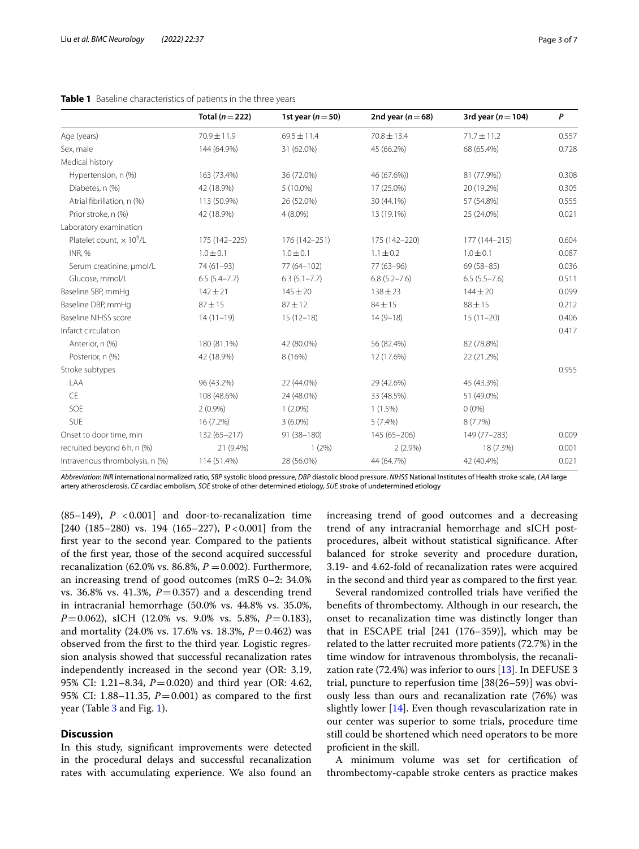|                                             | Total ( $n = 222$ ) | 1st year $(n=50)$ | 2nd year $(n=68)$ | 3rd year ( $n = 104$ ) | P     |
|---------------------------------------------|---------------------|-------------------|-------------------|------------------------|-------|
| Age (years)                                 | $70.9 \pm 11.9$     | $69.5 \pm 11.4$   | $70.8 \pm 13.4$   | $71.7 \pm 11.2$        | 0.557 |
| Sex, male                                   | 144 (64.9%)         | 31 (62.0%)        | 45 (66.2%)        | 68 (65.4%)             | 0.728 |
| Medical history                             |                     |                   |                   |                        |       |
| Hypertension, n (%)                         | 163 (73.4%)         | 36 (72.0%)        | 46 (67.6%))       | 81 (77.9%))            | 0.308 |
| Diabetes, n (%)                             | 42 (18.9%)          | $5(10.0\%)$       | 17 (25.0%)        | 20 (19.2%)             | 0.305 |
| Atrial fibrillation, n (%)                  | 113 (50.9%)         | 26 (52.0%)        | 30 (44.1%)        | 57 (54.8%)             | 0.555 |
| Prior stroke, n (%)                         | 42 (18.9%)          | $4(8.0\%)$        | 13 (19.1%)        | 25 (24.0%)             | 0.021 |
| Laboratory examination                      |                     |                   |                   |                        |       |
| Platelet count, $\times$ 10 <sup>9</sup> /L | 175 (142-225)       | 176 (142-251)     | 175 (142-220)     | 177 (144-215)          | 0.604 |
| <b>INR, %</b>                               | $1.0 \pm 0.1$       | $1.0 \pm 0.1$     | $1.1 \pm 0.2$     | $1.0 \pm 0.1$          | 0.087 |
| Serum creatinine, µmol/L                    | 74 (61-93)          | 77 (64-102)       | $77(63 - 96)$     | 69 (58-85)             | 0.036 |
| Glucose, mmol/L                             | $6.5(5.4 - 7.7)$    | $6.3(5.1 - 7.7)$  | $6.8(5.2 - 7.6)$  | $6.5(5.5 - 7.6)$       | 0.511 |
| Baseline SBP, mmHq                          | $142 + 21$          | $145 \pm 20$      | $138 + 23$        | $144 \pm 20$           | 0.099 |
| Baseline DBP, mmHg                          | $87 + 15$           | $87 + 12$         | $84 \pm 15$       | $88 \pm 15$            | 0.212 |
| <b>Baseline NIHSS score</b>                 | $14(11-19)$         | $15(12-18)$       | $14(9-18)$        | $15(11-20)$            | 0.406 |
| Infarct circulation                         |                     |                   |                   |                        | 0.417 |
| Anterior, n (%)                             | 180 (81.1%)         | 42 (80.0%)        | 56 (82.4%)        | 82 (78.8%)             |       |
| Posterior, n (%)                            | 42 (18.9%)          | 8 (16%)           | 12 (17.6%)        | 22 (21.2%)             |       |
| Stroke subtypes                             |                     |                   |                   |                        | 0.955 |
| LAA                                         | 96 (43.2%)          | 22 (44.0%)        | 29 (42.6%)        | 45 (43.3%)             |       |
| CE                                          | 108 (48.6%)         | 24 (48.0%)        | 33 (48.5%)        | 51 (49.0%)             |       |
| SOE                                         | $2(0.9\%)$          | $1(2.0\%)$        | $1(1.5\%)$        | $0(0\%)$               |       |
| SUE                                         | 16 (7.2%)           | $3(6.0\%)$        | $5(7.4\%)$        | 8(7.7%)                |       |
| Onset to door time, min                     | $132(65 - 217)$     | 91 (38-180)       | $145(65 - 206)$   | 149 (77-283)           | 0.009 |
| recruited beyond 6h, n (%)                  | 21 (9.4%)           | 1(2%)             | $2(2.9\%)$        | 18 (7.3%)              | 0.001 |
| Intravenous thrombolysis, n (%)             | 114 (51.4%)         | 28 (56.0%)        | 44 (64.7%)        | 42 (40.4%)             | 0.021 |

## <span id="page-2-0"></span>**Table 1** Baseline characteristics of patients in the three years

*Abbreviation*: *INR* international normalized ratio, *SBP* systolic blood pressure, *DBP* diastolic blood pressure, *NIHSS* National Institutes of Health stroke scale, *LAA* large artery atherosclerosis, *CE* cardiac embolism, *SOE* stroke of other determined etiology, *SUE* stroke of undetermined etiology

(85–149),  $P < 0.001$ ] and door-to-recanalization time [240 (185–280) vs. 194 (165–227),  $P < 0.001$ ] from the frst year to the second year. Compared to the patients of the frst year, those of the second acquired successful recanalization (62.0% vs. 86.8%,  $P = 0.002$ ). Furthermore, an increasing trend of good outcomes (mRS 0–2: 34.0% vs. 36.8% vs. 41.3%,  $P = 0.357$ ) and a descending trend in intracranial hemorrhage (50.0% vs. 44.8% vs. 35.0%, *P*=0.062), sICH (12.0% vs. 9.0% vs. 5.8%, *P*=0.183), and mortality (24.0% vs. 17.6% vs. 18.3%, *P*=0.462) was observed from the frst to the third year. Logistic regression analysis showed that successful recanalization rates independently increased in the second year (OR: 3.19, 95% CI: 1.21–8.34, *P*=0.020) and third year (OR: 4.62, 95% CI: 1.88–11.35,  $P = 0.001$ ) as compared to the first year (Table [3](#page-3-1) and Fig. [1\)](#page-4-0).

# **Discussion**

In this study, signifcant improvements were detected in the procedural delays and successful recanalization rates with accumulating experience. We also found an increasing trend of good outcomes and a decreasing trend of any intracranial hemorrhage and sICH postprocedures, albeit without statistical signifcance. After balanced for stroke severity and procedure duration, 3.19- and 4.62-fold of recanalization rates were acquired in the second and third year as compared to the frst year.

Several randomized controlled trials have verifed the benefts of thrombectomy. Although in our research, the onset to recanalization time was distinctly longer than that in ESCAPE trial [241 (176–359)], which may be related to the latter recruited more patients (72.7%) in the time window for intravenous thrombolysis, the recanalization rate (72.4%) was inferior to ours [\[13\]](#page-6-8). In DEFUSE 3 trial, puncture to reperfusion time [38(26–59)] was obviously less than ours and recanalization rate (76%) was slightly lower [[14\]](#page-6-9). Even though revascularization rate in our center was superior to some trials, procedure time still could be shortened which need operators to be more profcient in the skill.

A minimum volume was set for certifcation of thrombectomy-capable stroke centers as practice makes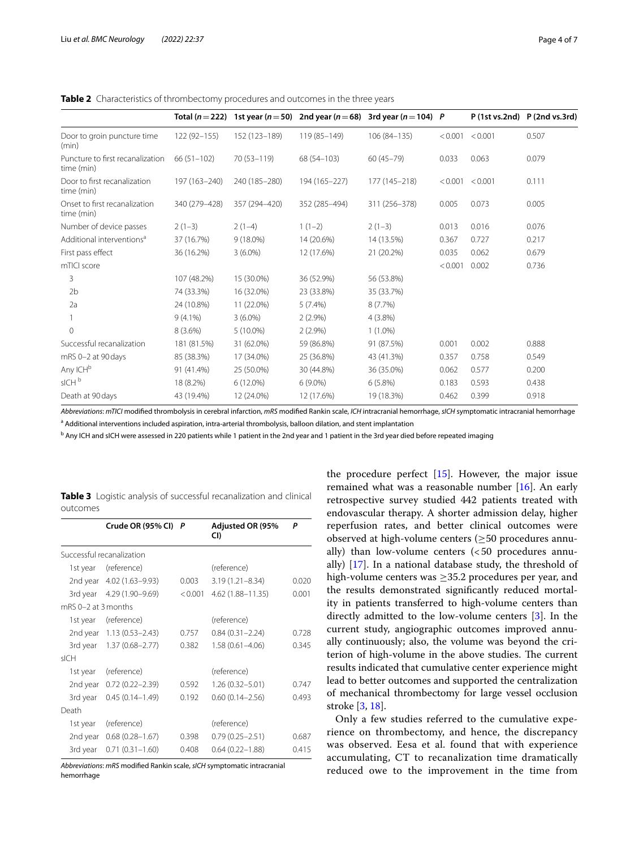<span id="page-3-0"></span>**Table 2** Characteristics of thrombectomy procedures and outcomes in the three years

|                                                |               |               |               | Total ( $n = 222$ ) 1st year ( $n = 50$ ) 2nd year ( $n = 68$ ) 3rd year ( $n = 104$ ) P |         |                 | $P(1st vs. 2nd)$ $P(2nd vs. 3rd)$ |
|------------------------------------------------|---------------|---------------|---------------|------------------------------------------------------------------------------------------|---------|-----------------|-----------------------------------|
| Door to groin puncture time<br>(min)           | 122 (92-155)  | 152 (123-189) | 119 (85-149)  | 106 (84-135)                                                                             |         | < 0.001 < 0.001 | 0.507                             |
| Puncture to first recanalization<br>time (min) | $66(51-102)$  | 70 (53-119)   | 68 (54-103)   | $60(45 - 79)$                                                                            | 0.033   | 0.063           | 0.079                             |
| Door to first recanalization<br>time (min)     | 197 (163-240) | 240 (185-280) | 194 (165-227) | 177 (145-218)                                                                            | < 0.001 | < 0.001         | 0.111                             |
| Onset to first recanalization<br>time (min)    | 340 (279-428) | 357 (294-420) | 352 (285-494) | 311 (256-378)                                                                            | 0.005   | 0.073           | 0.005                             |
| Number of device passes                        | $2(1-3)$      | $2(1-4)$      | $1(1-2)$      | $2(1-3)$                                                                                 | 0.013   | 0.016           | 0.076                             |
| Additional interventions <sup>a</sup>          | 37 (16.7%)    | $9(18.0\%)$   | 14 (20.6%)    | 14 (13.5%)                                                                               | 0.367   | 0.727           | 0.217                             |
| First pass effect                              | 36 (16.2%)    | $3(6.0\%)$    | 12 (17.6%)    | 21 (20.2%)                                                                               | 0.035   | 0.062           | 0.679                             |
| mTICI score                                    |               |               |               |                                                                                          | < 0.001 | 0.002           | 0.736                             |
| 3                                              | 107 (48.2%)   | 15 (30.0%)    | 36 (52.9%)    | 56 (53.8%)                                                                               |         |                 |                                   |
| 2 <sub>b</sub>                                 | 74 (33.3%)    | 16 (32.0%)    | 23 (33.8%)    | 35 (33.7%)                                                                               |         |                 |                                   |
| 2a                                             | 24 (10.8%)    | 11 (22.0%)    | $5(7.4\%)$    | 8 (7.7%)                                                                                 |         |                 |                                   |
|                                                | $9(4.1\%)$    | $3(6.0\%)$    | $2(2.9\%)$    | $4(3.8\%)$                                                                               |         |                 |                                   |
| $\mathbf{0}$                                   | $8(3.6\%)$    | $5(10.0\%)$   | $2(2.9\%)$    | $1(1.0\%)$                                                                               |         |                 |                                   |
| Successful recanalization                      | 181 (81.5%)   | 31 (62.0%)    | 59 (86.8%)    | 91 (87.5%)                                                                               | 0.001   | 0.002           | 0.888                             |
| mRS 0-2 at 90 days                             | 85 (38.3%)    | 17 (34.0%)    | 25 (36.8%)    | 43 (41.3%)                                                                               | 0.357   | 0.758           | 0.549                             |
| Any ICH <sup>b</sup>                           | 91 (41.4%)    | 25 (50.0%)    | 30 (44.8%)    | 36 (35.0%)                                                                               | 0.062   | 0.577           | 0.200                             |
| sICH <sup>b</sup>                              | 18 (8.2%)     | 6 (12.0%)     | $6(9.0\%)$    | $6(5.8\%)$                                                                               | 0.183   | 0.593           | 0.438                             |
| Death at 90 days                               | 43 (19.4%)    | 12 (24.0%)    | 12 (17.6%)    | 19 (18.3%)                                                                               | 0.462   | 0.399           | 0.918                             |

*Abbreviations*: *mTICI* modifed thrombolysis in cerebral infarction, *mRS* modifed Rankin scale, *ICH* intracranial hemorrhage, *sICH* symptomatic intracranial hemorrhage

<sup>a</sup> Additional interventions included aspiration, intra-arterial thrombolysis, balloon dilation, and stent implantation

<sup>b</sup> Any ICH and sICH were assessed in 220 patients while 1 patient in the 2nd year and 1 patient in the 3rd year died before repeated imaging

<span id="page-3-1"></span>

|          |  |  | Table 3 Logistic analysis of successful recanalization and clinical |  |
|----------|--|--|---------------------------------------------------------------------|--|
| outcomes |  |  |                                                                     |  |

|                     | Crude OR (95% CI)         | P       | Adjusted OR (95%<br>CI) | Р     |
|---------------------|---------------------------|---------|-------------------------|-------|
|                     | Successful recanalization |         |                         |       |
| 1st year            | (reference)               |         | (reference)             |       |
|                     | 2nd year 4.02 (1.63-9.93) | 0.003   | $3.19(1.21 - 8.34)$     | 0.020 |
| 3rd year            | 4.29 (1.90–9.69)          | < 0.001 | 4.62 (1.88-11.35)       | 0.001 |
| mRS 0-2 at 3 months |                           |         |                         |       |
| 1st year            | (reference)               |         | (reference)             |       |
| 2nd year            | $1.13(0.53 - 2.43)$       | 0.757   | $0.84(0.31 - 2.24)$     | 0.728 |
| 3rd year            | $1.37(0.68 - 2.77)$       | 0.382   | $1.58(0.61 - 4.06)$     | 0.345 |
| slCH                |                           |         |                         |       |
| 1st year            | (reference)               |         | (reference)             |       |
| 2nd year            | $0.72(0.22 - 2.39)$       | 0.592   | $1.26(0.32 - 5.01)$     | 0.747 |
| 3rd year            | $0.45(0.14 - 1.49)$       | 0.192   | $0.60(0.14 - 2.56)$     | 0.493 |
| Death               |                           |         |                         |       |
| 1st year            | (reference)               |         | (reference)             |       |
| 2nd year            | $0.68(0.28 - 1.67)$       | 0.398   | $0.79(0.25 - 2.51)$     | 0.687 |
| 3rd year            | $0.71(0.31 - 1.60)$       | 0.408   | $0.64(0.22 - 1.88)$     | 0.415 |

*Abbreviations*: *mRS* modifed Rankin scale, *sICH* symptomatic intracranial hemorrhage

the procedure perfect [\[15](#page-6-10)]. However, the major issue remained what was a reasonable number [\[16\]](#page-6-11). An early retrospective survey studied 442 patients treated with endovascular therapy. A shorter admission delay, higher reperfusion rates, and better clinical outcomes were observed at high-volume centers (≥50 procedures annually) than low-volume centers  $( $50$  procedures annu$ ally) [[17\]](#page-6-12). In a national database study, the threshold of high-volume centers was  $\geq$ 35.2 procedures per year, and the results demonstrated signifcantly reduced mortality in patients transferred to high-volume centers than directly admitted to the low-volume centers [[3\]](#page-5-2). In the current study, angiographic outcomes improved annually continuously; also, the volume was beyond the criterion of high-volume in the above studies. The current results indicated that cumulative center experience might lead to better outcomes and supported the centralization of mechanical thrombectomy for large vessel occlusion stroke [\[3](#page-5-2), [18\]](#page-6-13).

Only a few studies referred to the cumulative experience on thrombectomy, and hence, the discrepancy was observed. Eesa et al. found that with experience accumulating, CT to recanalization time dramatically reduced owe to the improvement in the time from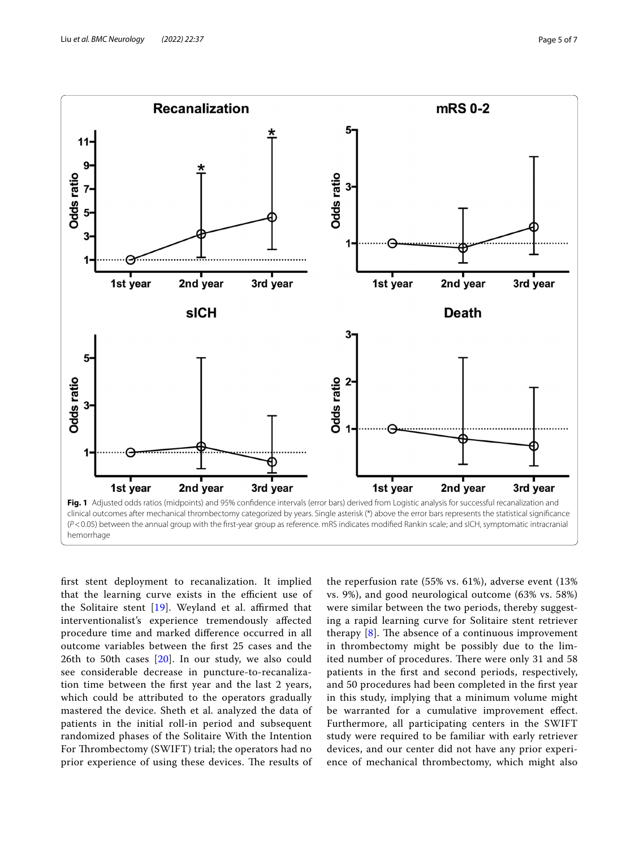

<span id="page-4-0"></span>frst stent deployment to recanalization. It implied that the learning curve exists in the efficient use of the Solitaire stent  $[19]$  $[19]$  $[19]$ . Weyland et al. affirmed that interventionalist's experience tremendously afected procedure time and marked diference occurred in all outcome variables between the frst 25 cases and the 26th to 50th cases [[20](#page-6-15)]. In our study, we also could see considerable decrease in puncture-to-recanalization time between the frst year and the last 2 years, which could be attributed to the operators gradually mastered the device. Sheth et al. analyzed the data of patients in the initial roll-in period and subsequent randomized phases of the Solitaire With the Intention For Thrombectomy (SWIFT) trial; the operators had no prior experience of using these devices. The results of

the reperfusion rate (55% vs. 61%), adverse event (13% vs. 9%), and good neurological outcome (63% vs. 58%) were similar between the two periods, thereby suggesting a rapid learning curve for Solitaire stent retriever therapy  $[8]$  $[8]$ . The absence of a continuous improvement in thrombectomy might be possibly due to the limited number of procedures. There were only 31 and 58 patients in the frst and second periods, respectively, and 50 procedures had been completed in the frst year in this study, implying that a minimum volume might be warranted for a cumulative improvement effect. Furthermore, all participating centers in the SWIFT study were required to be familiar with early retriever devices, and our center did not have any prior experience of mechanical thrombectomy, which might also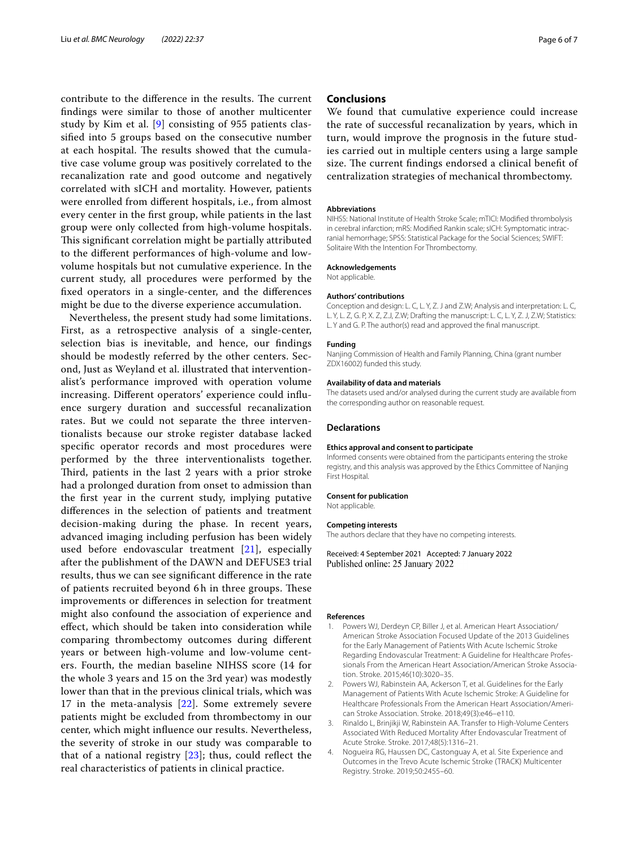contribute to the difference in the results. The current fndings were similar to those of another multicenter study by Kim et al. [\[9\]](#page-6-4) consisting of 955 patients classifed into 5 groups based on the consecutive number at each hospital. The results showed that the cumulative case volume group was positively correlated to the recanalization rate and good outcome and negatively correlated with sICH and mortality. However, patients were enrolled from diferent hospitals, i.e., from almost every center in the frst group, while patients in the last group were only collected from high-volume hospitals. This significant correlation might be partially attributed to the diferent performances of high-volume and lowvolume hospitals but not cumulative experience. In the current study, all procedures were performed by the fxed operators in a single-center, and the diferences might be due to the diverse experience accumulation.

Nevertheless, the present study had some limitations. First, as a retrospective analysis of a single-center, selection bias is inevitable, and hence, our fndings should be modestly referred by the other centers. Second, Just as Weyland et al. illustrated that interventionalist's performance improved with operation volume increasing. Diferent operators' experience could infuence surgery duration and successful recanalization rates. But we could not separate the three interventionalists because our stroke register database lacked specifc operator records and most procedures were performed by the three interventionalists together. Third, patients in the last 2 years with a prior stroke had a prolonged duration from onset to admission than the frst year in the current study, implying putative diferences in the selection of patients and treatment decision-making during the phase. In recent years, advanced imaging including perfusion has been widely used before endovascular treatment  $[21]$  $[21]$  $[21]$ , especially after the publishment of the DAWN and DEFUSE3 trial results, thus we can see signifcant diference in the rate of patients recruited beyond 6h in three groups. These improvements or diferences in selection for treatment might also confound the association of experience and efect, which should be taken into consideration while comparing thrombectomy outcomes during diferent years or between high-volume and low-volume centers. Fourth, the median baseline NIHSS score (14 for the whole 3 years and 15 on the 3rd year) was modestly lower than that in the previous clinical trials, which was 17 in the meta-analysis [[22](#page-6-17)]. Some extremely severe patients might be excluded from thrombectomy in our center, which might infuence our results. Nevertheless, the severity of stroke in our study was comparable to that of a national registry  $[23]$ ; thus, could reflect the real characteristics of patients in clinical practice.

# **Conclusions**

We found that cumulative experience could increase the rate of successful recanalization by years, which in turn, would improve the prognosis in the future studies carried out in multiple centers using a large sample size. The current findings endorsed a clinical benefit of centralization strategies of mechanical thrombectomy.

#### **Abbreviations**

NIHSS: National Institute of Health Stroke Scale; mTICI: Modifed thrombolysis in cerebral infarction; mRS: Modifed Rankin scale; sICH: Symptomatic intracranial hemorrhage; SPSS: Statistical Package for the Social Sciences; SWIFT: Solitaire With the Intention For Thrombectomy.

## **Acknowledgements**

Not applicable.

### **Authors' contributions**

Conception and design: L. C, L. Y, Z. J and Z.W; Analysis and interpretation: L. C, L. Y, L. Z, G. P, X. Z, Z.J, Z.W; Drafting the manuscript: L. C, L. Y, Z. J, Z.W; Statistics: L. Y and G. P. The author(s) read and approved the fnal manuscript.

#### **Funding**

Nanjing Commission of Health and Family Planning, China (grant number ZDX16002) funded this study.

#### **Availability of data and materials**

The datasets used and/or analysed during the current study are available from the corresponding author on reasonable request.

#### **Declarations**

#### **Ethics approval and consent to participate**

Informed consents were obtained from the participants entering the stroke registry, and this analysis was approved by the Ethics Committee of Nanjing First Hospital.

#### **Consent for publication** Not applicable.

#### **Competing interests**

The authors declare that they have no competing interests.

Received: 4 September 2021 Accepted: 7 January 2022 Published online: 25 January 2022

#### **References**

- <span id="page-5-0"></span>1. Powers WJ, Derdeyn CP, Biller J, et al. American Heart Association/ American Stroke Association Focused Update of the 2013 Guidelines for the Early Management of Patients With Acute Ischemic Stroke Regarding Endovascular Treatment: A Guideline for Healthcare Professionals From the American Heart Association/American Stroke Association. Stroke. 2015;46(10):3020–35.
- <span id="page-5-1"></span>2. Powers WJ, Rabinstein AA, Ackerson T, et al. Guidelines for the Early Management of Patients With Acute Ischemic Stroke: A Guideline for Healthcare Professionals From the American Heart Association/American Stroke Association. Stroke. 2018;49(3):e46–e110.
- <span id="page-5-2"></span>3. Rinaldo L, Brinjikji W, Rabinstein AA. Transfer to High-Volume Centers Associated With Reduced Mortality After Endovascular Treatment of Acute Stroke. Stroke. 2017;48(5):1316–21.
- <span id="page-5-3"></span>4. Nogueira RG, Haussen DC, Castonguay A, et al. Site Experience and Outcomes in the Trevo Acute Ischemic Stroke (TRACK) Multicenter Registry. Stroke. 2019;50:2455–60.